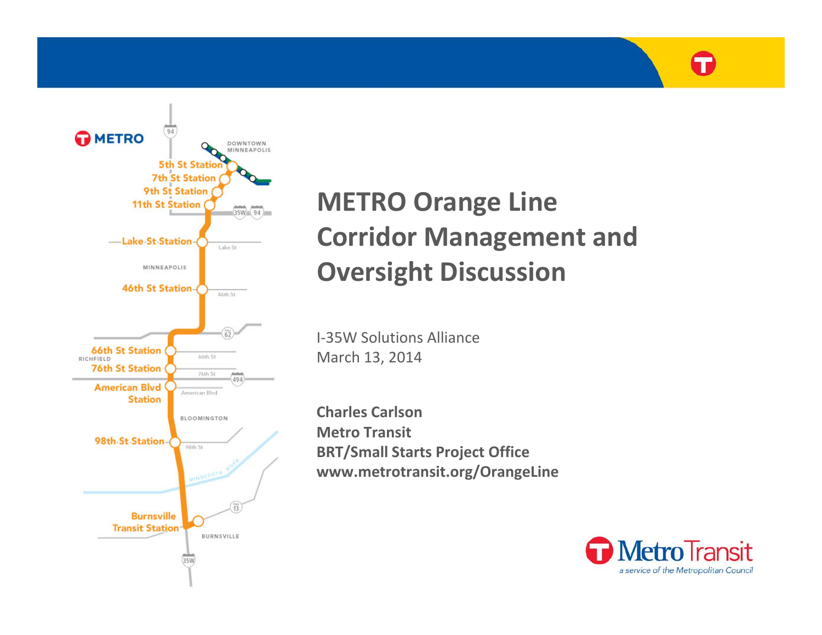

## **METRO Orange Line Corridor Management and Oversight Discussion**

I‐35W Solutions Alliance March 13, 2014

**Charles CarlsonMetro Transit BRT/Small Starts Project Office www.metrotransit.org/OrangeLine**

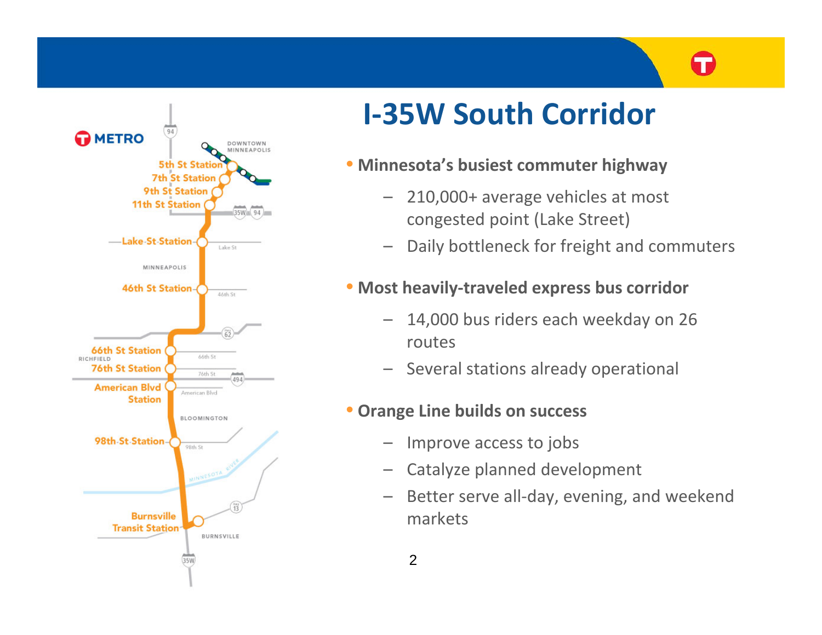

# **I‐35W South Corridor**

### • **Minnesota's busiest commuter highway**

- – 210,000+ average vehicles at most congested point (Lake Street)
- –Daily bottleneck for freight and commuters

### • **Most heavily‐traveled express bus corridor**

- – 14,000 bus riders each weekday on 26 routes
- Several stations already operational

### • **Orange Line builds on success**

- –Improve access to jobs
- –Catalyze planned development
- –Better serve all-day, evening, and weekend markets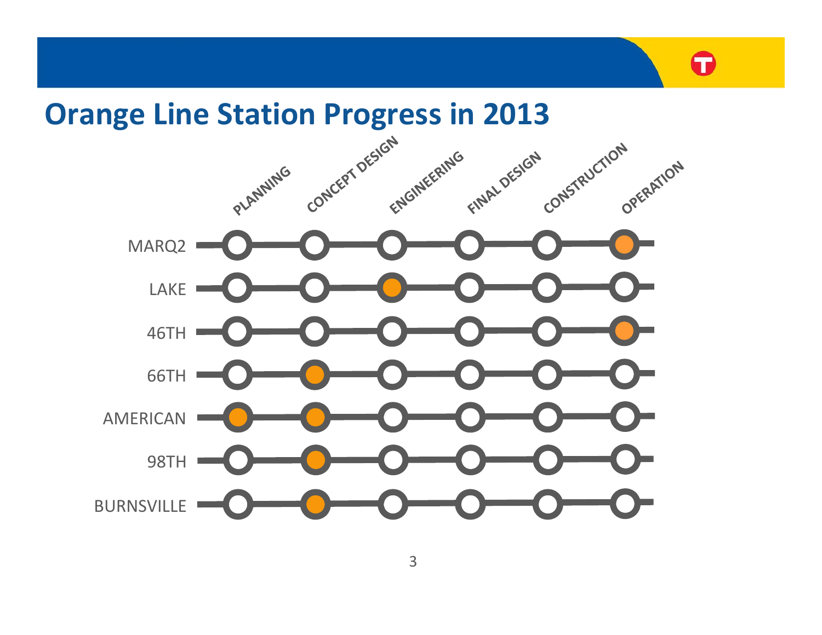

Œ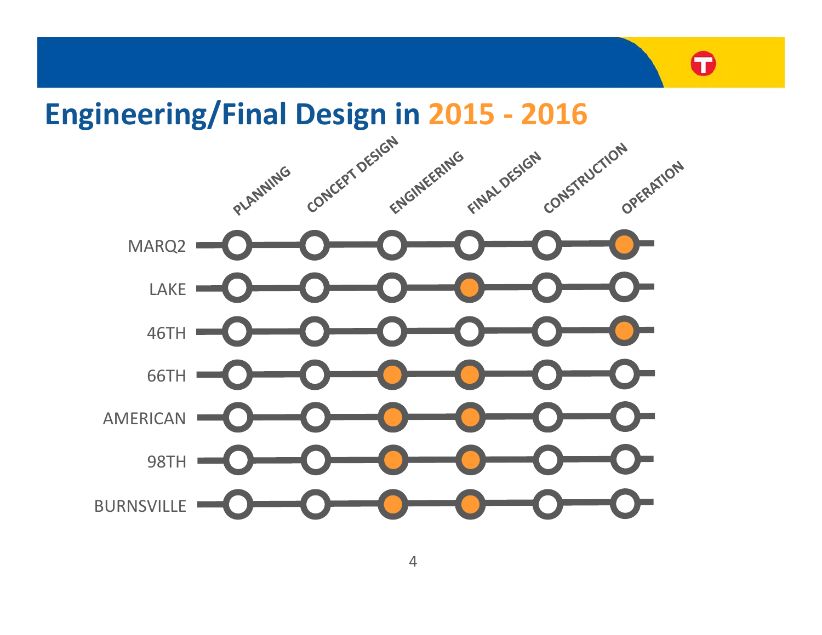

Œ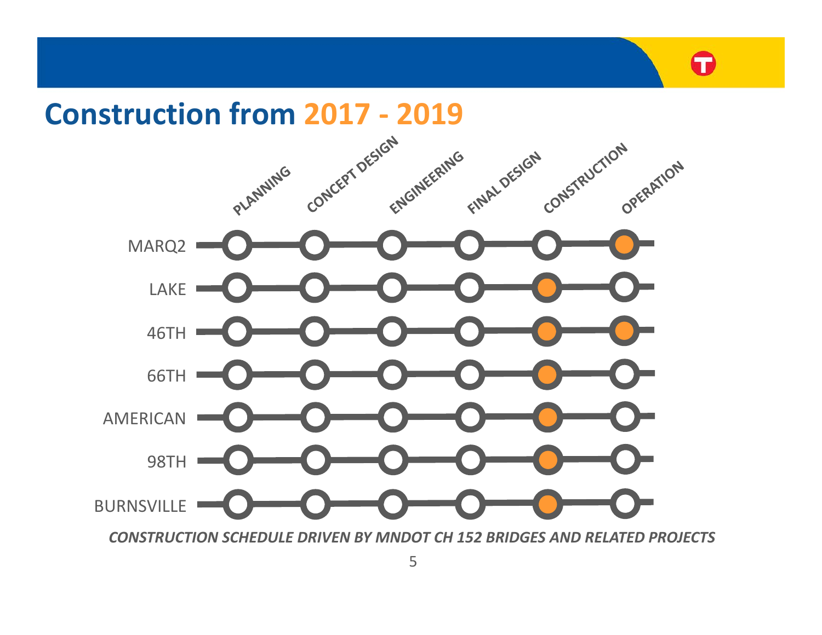## **Construction from 2017 ‐ 2019**



*CONSTRUCTION SCHEDULE DRIVEN BY MNDOT CH 152 BRIDGES AND RELATED PROJECTS*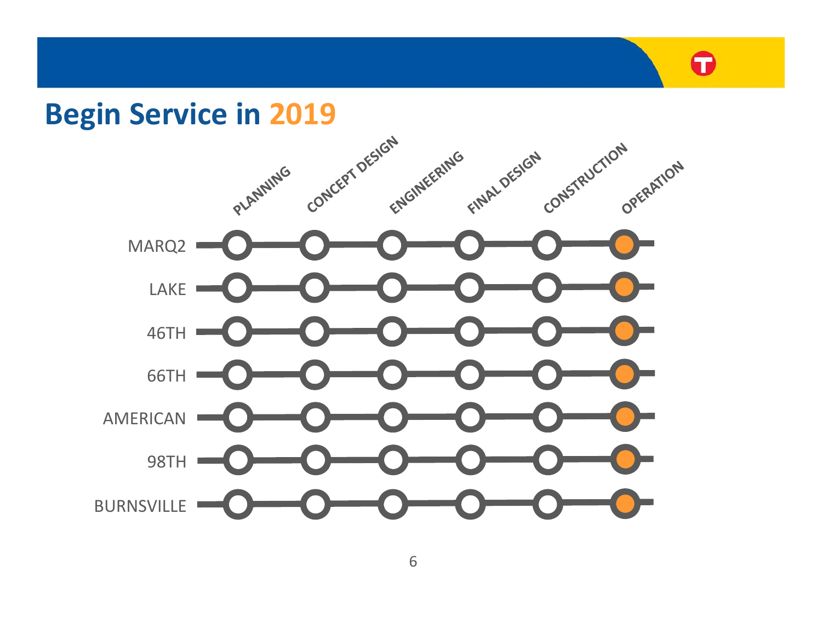# T

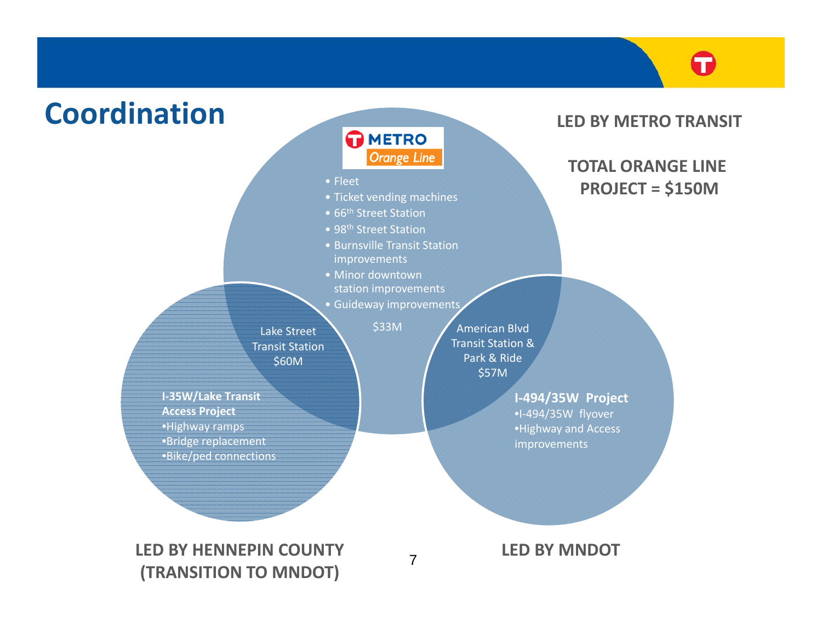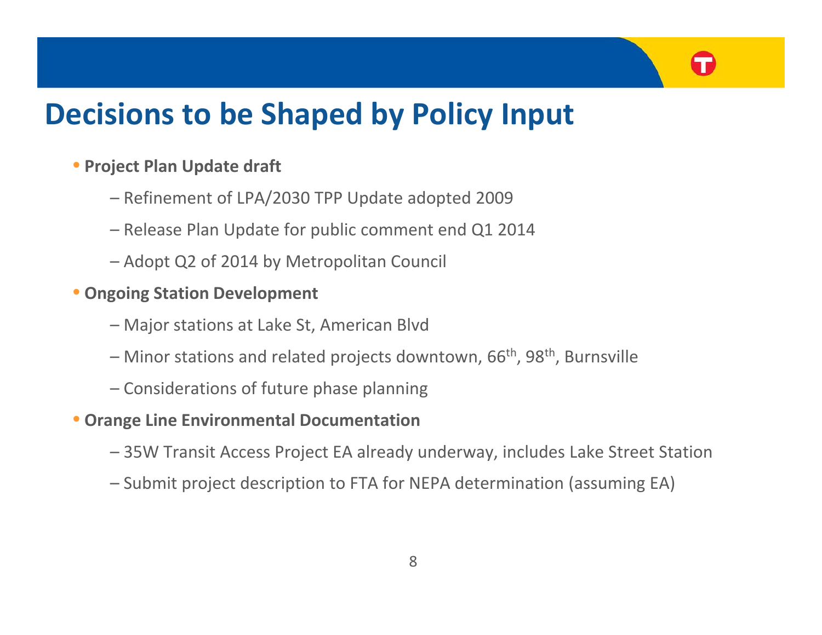# **Decisions to be Shaped by Policy Input**

#### • **Project Plan Update draft**

- Refinement of LPA/2030 TPP Update adopted 2009
- Release Plan Update for public comment end Q1 2014
- Adopt Q2 of 2014 by Metropolitan Council
- **Ongoing Station Development**
	- Major stations at Lake St, American Blvd
	- Minor stations and related projects downtown, 66<sup>th</sup>, 98<sup>th</sup>, Burnsville
	- Considerations of future phase planning

#### • **Orange Line Environmental Documentation**

- 35W Transit Access Project EA already underway, includes Lake Street Station
- Submit project description to FTA for NEPA determination (assuming EA)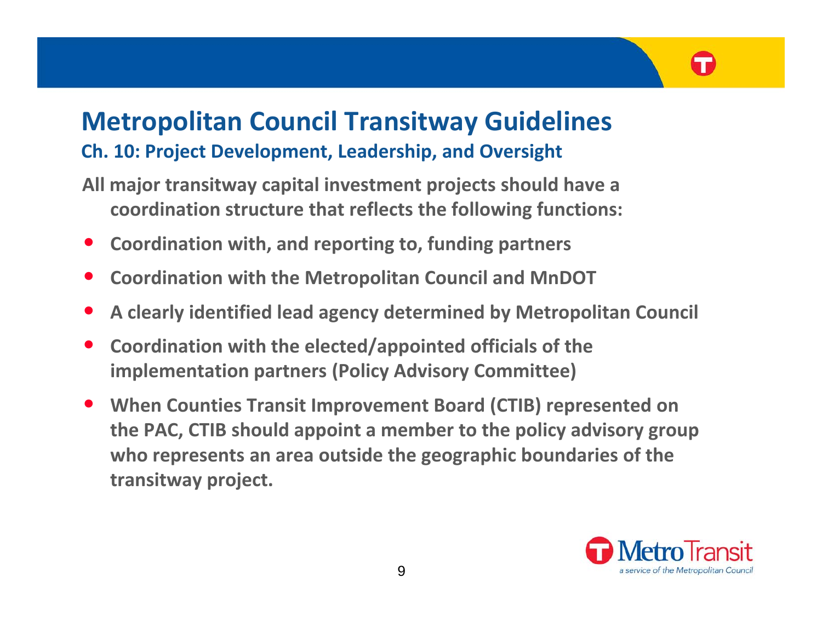## **Metropolitan Council Transitway Guidelines Ch. 10: Project Development, Leadership, and Oversight**

- **All major transitway capital investment projects should have <sup>a</sup> coordination structure that reflects the following functions:**
- •**Coordination with, and reporting to, funding partners**
- •**Coordination with the Metropolitan Council and MnDOT**
- •**A clearly identified lead agency determined by Metropolitan Council**
- • **Coordination with the elected/appointed officials of the implementation partners (Policy Advisory Committee)**
- • **When Counties Transit Improvement Board (CTIB) represented on the PAC, CTIB should appoint <sup>a</sup> member to the policy advisory group who represents an area outside the geographic boundaries of the transitway project.**

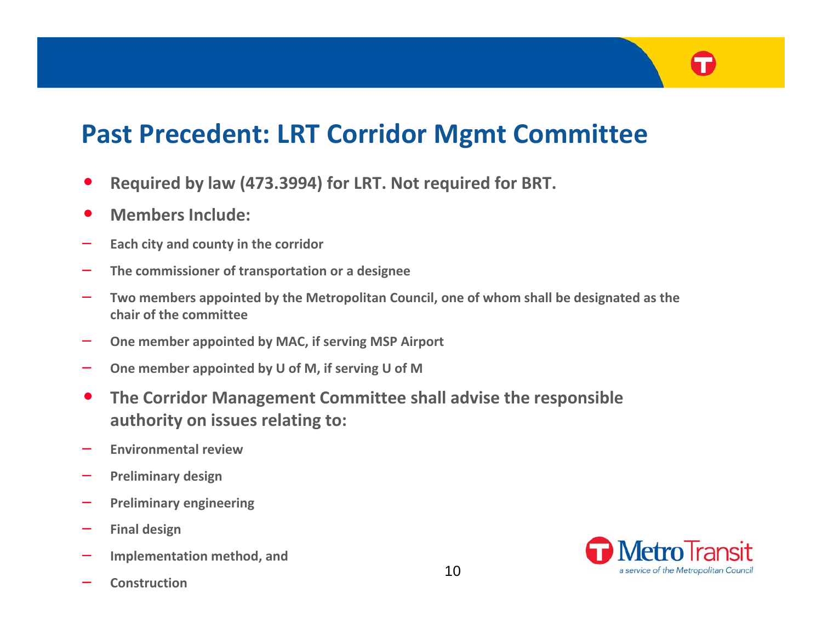## **Past Precedent: LRT Corridor Mgmt Committee**

- •**Required by law (473.3994) for LRT. Not required for BRT.**
- •**Members Include:**
- **Each city and county in the corridor**
- **The commissioner of transportation or <sup>a</sup> designee**
- **Two members appointed by the Metropolitan Council, one of whom shall be designated as the chair of the committee**
- **One member appointed by MAC, if serving MSP Airport**
- –**One member appointed by U of M, if serving U of M**
- $\bullet$  **The Corridor Management Committee shall advise the responsible authority on issues relating to:**
- **Environmental review**
- **Preliminary design**
- **Preliminary engineering**
- **Final design**
- **Implementation method, and**
- **Construction**

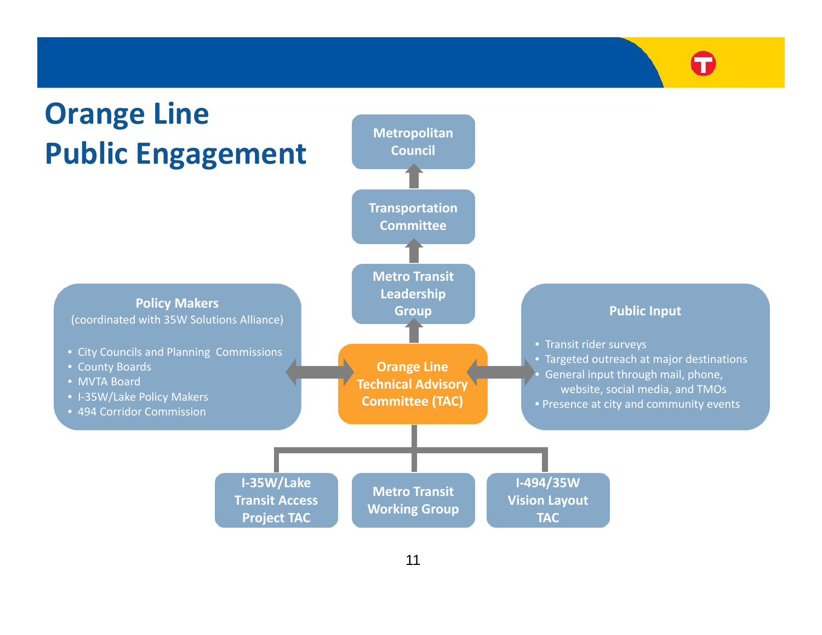